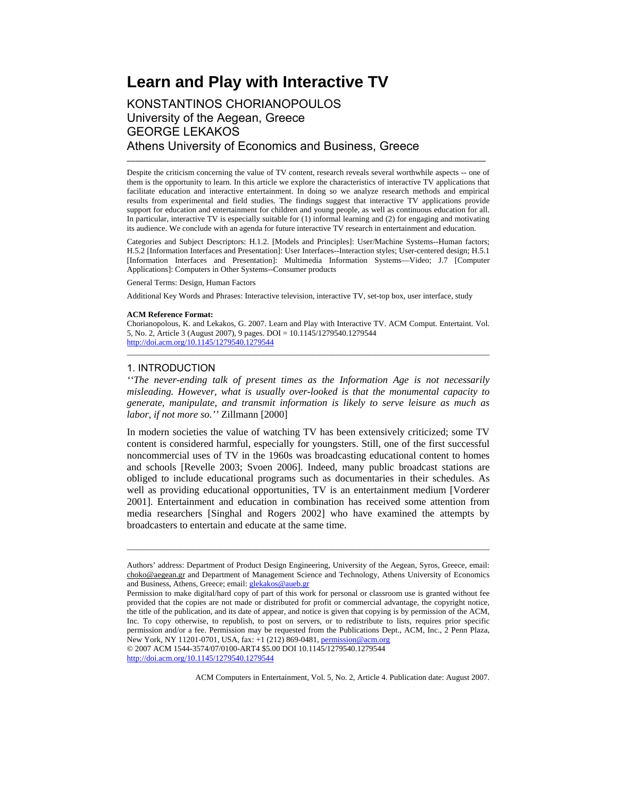# **Learn and Play with Interactive TV**

# KONSTANTINOS CHORIANOPOULOS University of the Aegean, Greece GEORGE LEKAKOS Athens University of Economics and Business, Greece

Despite the criticism concerning the value of TV content, research reveals several worthwhile aspects -- one of them is the opportunity to learn. In this article we explore the characteristics of interactive TV applications that facilitate education and interactive entertainment. In doing so we analyze research methods and empirical results from experimental and field studies. The findings suggest that interactive TV applications provide support for education and entertainment for children and young people, as well as continuous education for all. In particular, interactive TV is especially suitable for (1) informal learning and (2) for engaging and motivating its audience. We conclude with an agenda for future interactive TV research in entertainment and education.

\_\_\_\_\_\_\_\_\_\_\_\_\_\_\_\_\_\_\_\_\_\_\_\_\_\_\_\_\_\_\_\_\_\_\_\_\_\_\_\_\_\_\_\_\_\_\_\_\_\_\_\_\_\_\_\_\_\_\_\_\_\_\_\_\_\_\_\_\_\_\_\_\_\_\_\_\_\_\_\_\_\_\_\_\_

Categories and Subject Descriptors: H.1.2. [Models and Principles]: User/Machine Systems--Human factors; H.5.2 [Information Interfaces and Presentation]: User Interfaces--Interaction styles; User-centered design; H.5.1 [Information Interfaces and Presentation]: Multimedia Information Systems—Video; J.7 [Computer Applications]: Computers in Other Systems--Consumer products

General Terms: Design, Human Factors

Additional Key Words and Phrases: Interactive television, interactive TV, set-top box, user interface, study

#### **ACM Reference Format:**

Chorianopolous, K. and Lekakos, G. 2007. Learn and Play with Interactive TV. ACM Comput. Entertaint. Vol. 5, No. 2, Article 3 (August 2007), 9 pages. DOI = 10.1145/1279540.1279544 http://doi.acm.org/10.1145/1279540.1279544 \_\_\_\_\_\_\_\_\_\_\_\_\_\_\_\_\_\_\_\_\_\_\_\_\_\_\_\_\_\_\_\_\_\_\_\_\_\_\_\_\_\_\_\_\_\_\_\_\_\_\_\_\_\_\_\_\_\_\_\_\_\_\_\_\_\_\_\_\_\_\_\_\_\_\_\_\_\_\_\_\_\_\_\_\_\_\_\_\_\_

#### 1. INTRODUCTION

*''The never-ending talk of present times as the Information Age is not necessarily misleading. However, what is usually over-looked is that the monumental capacity to generate, manipulate, and transmit information is likely to serve leisure as much as labor, if not more so.''* Zillmann [2000]

In modern societies the value of watching TV has been extensively criticized; some TV content is considered harmful, especially for youngsters. Still, one of the first successful noncommercial uses of TV in the 1960s was broadcasting educational content to homes and schools [Revelle 2003; Svoen 2006]. Indeed, many public broadcast stations are obliged to include educational programs such as documentaries in their schedules. As well as providing educational opportunities, TV is an entertainment medium [Vorderer 2001]. Entertainment and education in combination has received some attention from media researchers [Singhal and Rogers 2002] who have examined the attempts by broadcasters to entertain and educate at the same time.

\_\_\_\_\_\_\_\_\_\_\_\_\_\_\_\_\_\_\_\_\_\_\_\_\_\_\_\_\_\_\_\_\_\_\_\_\_\_\_\_\_\_\_\_\_\_\_\_\_\_\_\_\_\_\_\_\_\_\_\_\_\_\_\_\_\_\_\_\_\_\_\_\_\_\_\_\_\_\_\_\_\_\_\_\_\_\_\_\_\_

http://doi.acm.org/10.1145/1279540.1279544

ACM Computers in Entertainment, Vol. 5, No. 2, Article 4. Publication date: August 2007.

Authors' address: Department of Product Design Engineering, University of the Aegean, Syros, Greece, email: choko@aegean.gr and Department of Management Science and Technology, Athens University of Economics and Business, Athens, Greece; email: glekakos@aueb.gr

Permission to make digital/hard copy of part of this work for personal or classroom use is granted without fee provided that the copies are not made or distributed for profit or commercial advantage, the copyright notice, the title of the publication, and its date of appear, and notice is given that copying is by permission of the ACM, Inc. To copy otherwise, to republish, to post on servers, or to redistribute to lists, requires prior specific permission and/or a fee. Permission may be requested from the Publications Dept., ACM, Inc., 2 Penn Plaza, New York, NY 11201-0701, USA, fax: +1 (212) 869-0481, permission@acm.org © 2007 ACM 1544-3574/07/0100-ART4 \$5.00 DOI 10.1145/1279540.1279544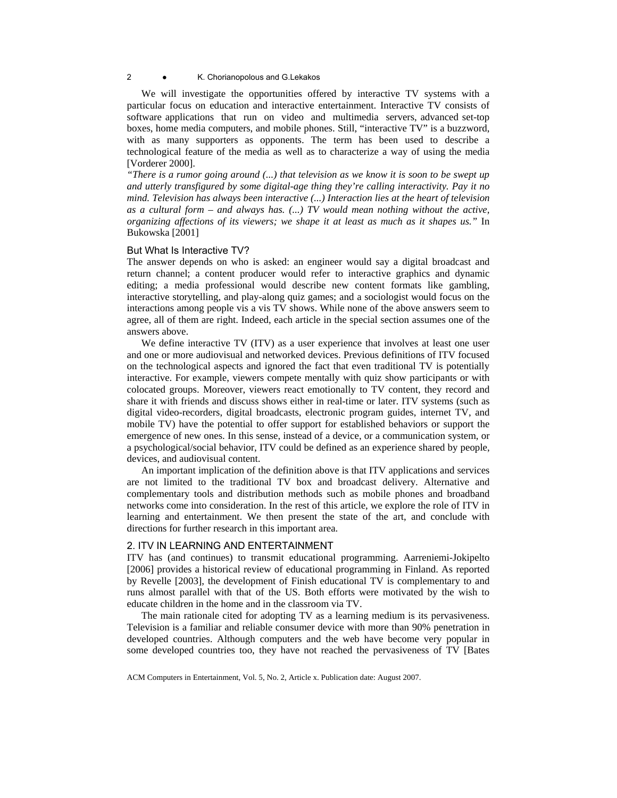#### 2 ● K. Chorianopolous and G.Lekakos

We will investigate the opportunities offered by interactive TV systems with a particular focus on education and interactive entertainment. Interactive TV consists of software applications that run on video and multimedia servers, advanced set-top boxes, home media computers, and mobile phones. Still, "interactive TV" is a buzzword, with as many supporters as opponents. The term has been used to describe a technological feature of the media as well as to characterize a way of using the media [Vorderer 2000].

*"There is a rumor going around (...) that television as we know it is soon to be swept up and utterly transfigured by some digital-age thing they're calling interactivity. Pay it no mind. Television has always been interactive (...) Interaction lies at the heart of television as a cultural form – and always has. (...) TV would mean nothing without the active, organizing affections of its viewers; we shape it at least as much as it shapes us."* In Bukowska [2001]

# But What Is Interactive TV?

The answer depends on who is asked: an engineer would say a digital broadcast and return channel; a content producer would refer to interactive graphics and dynamic editing; a media professional would describe new content formats like gambling, interactive storytelling, and play-along quiz games; and a sociologist would focus on the interactions among people vis a vis TV shows. While none of the above answers seem to agree, all of them are right. Indeed, each article in the special section assumes one of the answers above.

We define interactive TV (ITV) as a user experience that involves at least one user and one or more audiovisual and networked devices. Previous definitions of ITV focused on the technological aspects and ignored the fact that even traditional TV is potentially interactive. For example, viewers compete mentally with quiz show participants or with colocated groups. Moreover, viewers react emotionally to TV content, they record and share it with friends and discuss shows either in real-time or later. ITV systems (such as digital video-recorders, digital broadcasts, electronic program guides, internet TV, and mobile TV) have the potential to offer support for established behaviors or support the emergence of new ones. In this sense, instead of a device, or a communication system, or a psychological/social behavior, ITV could be defined as an experience shared by people, devices, and audiovisual content.

An important implication of the definition above is that ITV applications and services are not limited to the traditional TV box and broadcast delivery. Alternative and complementary tools and distribution methods such as mobile phones and broadband networks come into consideration. In the rest of this article, we explore the role of ITV in learning and entertainment. We then present the state of the art, and conclude with directions for further research in this important area.

# 2. ITV IN LEARNING AND ENTERTAINMENT

ITV has (and continues) to transmit educational programming. Aarreniemi-Jokipelto [2006] provides a historical review of educational programming in Finland. As reported by Revelle [2003], the development of Finish educational TV is complementary to and runs almost parallel with that of the US. Both efforts were motivated by the wish to educate children in the home and in the classroom via TV.

The main rationale cited for adopting TV as a learning medium is its pervasiveness. Television is a familiar and reliable consumer device with more than 90% penetration in developed countries. Although computers and the web have become very popular in some developed countries too, they have not reached the pervasiveness of TV [Bates

ACM Computers in Entertainment, Vol. 5, No. 2, Article x. Publication date: August 2007.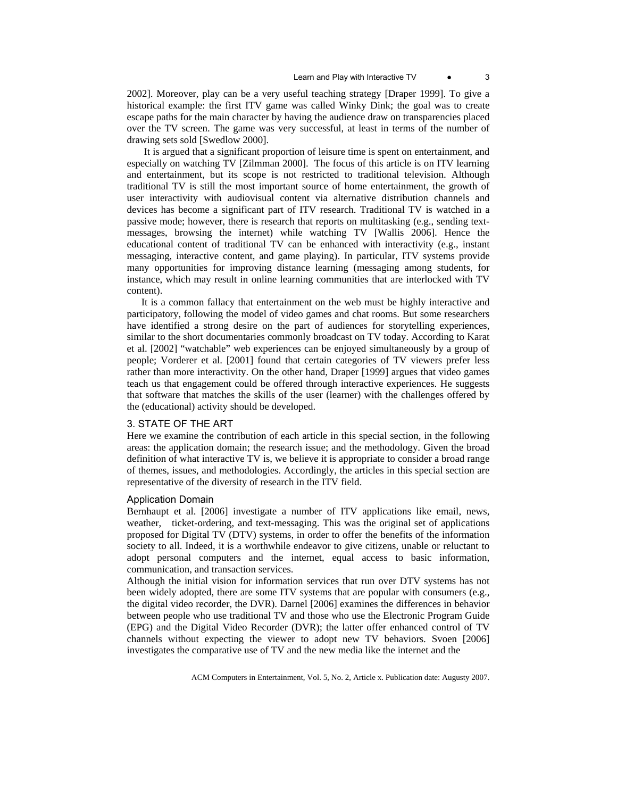2002]. Moreover, play can be a very useful teaching strategy [Draper 1999]. To give a historical example: the first ITV game was called Winky Dink; the goal was to create escape paths for the main character by having the audience draw on transparencies placed over the TV screen. The game was very successful, at least in terms of the number of drawing sets sold [Swedlow 2000].

 It is argued that a significant proportion of leisure time is spent on entertainment, and especially on watching TV [Zilmman 2000]. The focus of this article is on ITV learning and entertainment, but its scope is not restricted to traditional television. Although traditional TV is still the most important source of home entertainment, the growth of user interactivity with audiovisual content via alternative distribution channels and devices has become a significant part of ITV research. Traditional TV is watched in a passive mode; however, there is research that reports on multitasking (e.g., sending textmessages, browsing the internet) while watching TV [Wallis 2006]. Hence the educational content of traditional TV can be enhanced with interactivity (e.g., instant messaging, interactive content, and game playing). In particular, ITV systems provide many opportunities for improving distance learning (messaging among students, for instance, which may result in online learning communities that are interlocked with TV content).

It is a common fallacy that entertainment on the web must be highly interactive and participatory, following the model of video games and chat rooms. But some researchers have identified a strong desire on the part of audiences for storytelling experiences, similar to the short documentaries commonly broadcast on TV today. According to Karat et al. [2002] "watchable" web experiences can be enjoyed simultaneously by a group of people; Vorderer et al. [2001] found that certain categories of TV viewers prefer less rather than more interactivity. On the other hand, Draper [1999] argues that video games teach us that engagement could be offered through interactive experiences. He suggests that software that matches the skills of the user (learner) with the challenges offered by the (educational) activity should be developed.

#### 3. STATE OF THE ART

Here we examine the contribution of each article in this special section, in the following areas: the application domain; the research issue; and the methodology. Given the broad definition of what interactive TV is, we believe it is appropriate to consider a broad range of themes, issues, and methodologies. Accordingly, the articles in this special section are representative of the diversity of research in the ITV field.

#### Application Domain

Bernhaupt et al. [2006] investigate a number of ITV applications like email, news, weather, ticket-ordering, and text-messaging. This was the original set of applications proposed for Digital TV (DTV) systems, in order to offer the benefits of the information society to all. Indeed, it is a worthwhile endeavor to give citizens, unable or reluctant to adopt personal computers and the internet, equal access to basic information, communication, and transaction services.

Although the initial vision for information services that run over DTV systems has not been widely adopted, there are some ITV systems that are popular with consumers (e.g., the digital video recorder, the DVR). Darnel [2006] examines the differences in behavior between people who use traditional TV and those who use the Electronic Program Guide (EPG) and the Digital Video Recorder (DVR); the latter offer enhanced control of TV channels without expecting the viewer to adopt new TV behaviors. Svoen [2006] investigates the comparative use of TV and the new media like the internet and the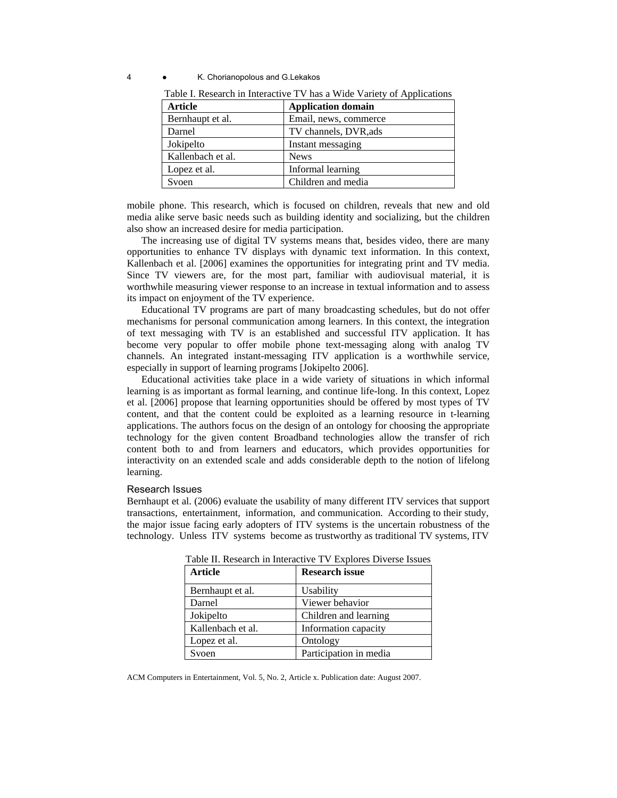#### 4 **• K. Chorianopolous and G.Lekakos**

| raolo il Research in interactive 1 y mas a vitae variety of l'applications |                           |  |
|----------------------------------------------------------------------------|---------------------------|--|
| <b>Article</b>                                                             | <b>Application domain</b> |  |
| Bernhaupt et al.                                                           | Email, news, commerce     |  |
| Darnel                                                                     | TV channels, DVR, ads     |  |
| Jokipelto                                                                  | Instant messaging         |  |
| Kallenbach et al.                                                          | <b>News</b>               |  |
| Lopez et al.                                                               | Informal learning         |  |
| Svoen                                                                      | Children and media        |  |

Table I. Research in Interactive TV has a Wide Variety of Applications

mobile phone. This research, which is focused on children, reveals that new and old media alike serve basic needs such as building identity and socializing, but the children also show an increased desire for media participation.

The increasing use of digital TV systems means that, besides video, there are many opportunities to enhance TV displays with dynamic text information. In this context, Kallenbach et al. [2006] examines the opportunities for integrating print and TV media. Since TV viewers are, for the most part, familiar with audiovisual material, it is worthwhile measuring viewer response to an increase in textual information and to assess its impact on enjoyment of the TV experience.

Educational TV programs are part of many broadcasting schedules, but do not offer mechanisms for personal communication among learners. In this context, the integration of text messaging with TV is an established and successful ITV application. It has become very popular to offer mobile phone text-messaging along with analog TV channels. An integrated instant-messaging ITV application is a worthwhile service, especially in support of learning programs [Jokipelto 2006].

Educational activities take place in a wide variety of situations in which informal learning is as important as formal learning, and continue life-long. In this context, Lopez et al. [2006] propose that learning opportunities should be offered by most types of TV content, and that the content could be exploited as a learning resource in t-learning applications. The authors focus on the design of an ontology for choosing the appropriate technology for the given content Broadband technologies allow the transfer of rich content both to and from learners and educators, which provides opportunities for interactivity on an extended scale and adds considerable depth to the notion of lifelong learning.

#### Research Issues

Bernhaupt et al. (2006) evaluate the usability of many different ITV services that support transactions, entertainment, information, and communication. According to their study, the major issue facing early adopters of ITV systems is the uncertain robustness of the technology. Unless ITV systems become as trustworthy as traditional TV systems, ITV

| <b>Article</b>    | <b>Research issue</b>  |
|-------------------|------------------------|
| Bernhaupt et al.  | Usability              |
| Darnel            | Viewer behavior        |
| Jokipelto         | Children and learning  |
| Kallenbach et al. | Information capacity   |
| Lopez et al.      | Ontology               |
| Svoen             | Participation in media |

Table II. Research in Interactive TV Explores Diverse Issues

ACM Computers in Entertainment, Vol. 5, No. 2, Article x. Publication date: August 2007.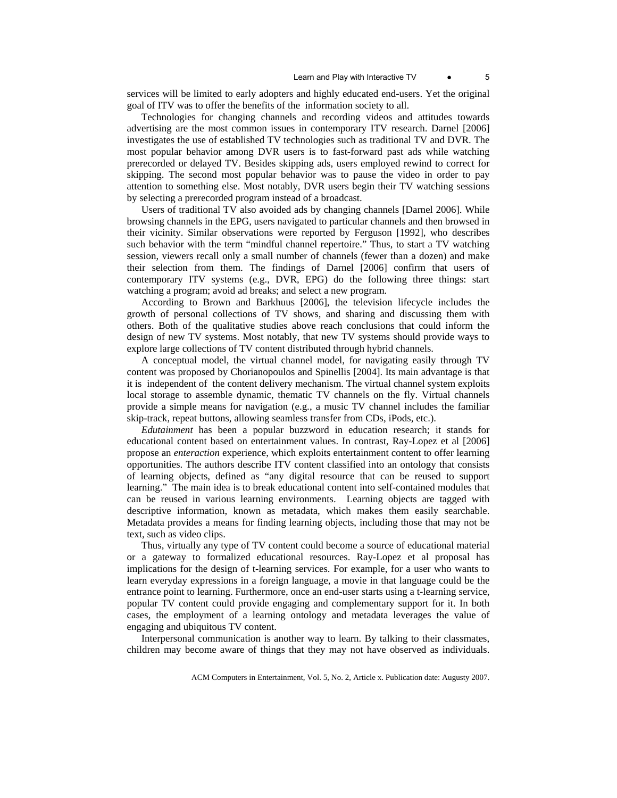services will be limited to early adopters and highly educated end-users. Yet the original goal of ITV was to offer the benefits of the information society to all.

Technologies for changing channels and recording videos and attitudes towards advertising are the most common issues in contemporary ITV research. Darnel [2006] investigates the use of established TV technologies such as traditional TV and DVR. The most popular behavior among DVR users is to fast-forward past ads while watching prerecorded or delayed TV. Besides skipping ads, users employed rewind to correct for skipping. The second most popular behavior was to pause the video in order to pay attention to something else. Most notably, DVR users begin their TV watching sessions by selecting a prerecorded program instead of a broadcast.

Users of traditional TV also avoided ads by changing channels [Darnel 2006]. While browsing channels in the EPG, users navigated to particular channels and then browsed in their vicinity. Similar observations were reported by Ferguson [1992], who describes such behavior with the term "mindful channel repertoire." Thus, to start a TV watching session, viewers recall only a small number of channels (fewer than a dozen) and make their selection from them. The findings of Darnel [2006] confirm that users of contemporary ITV systems (e.g., DVR, EPG) do the following three things: start watching a program; avoid ad breaks; and select a new program.

According to Brown and Barkhuus [2006], the television lifecycle includes the growth of personal collections of TV shows, and sharing and discussing them with others. Both of the qualitative studies above reach conclusions that could inform the design of new TV systems. Most notably, that new TV systems should provide ways to explore large collections of TV content distributed through hybrid channels.

A conceptual model, the virtual channel model, for navigating easily through TV content was proposed by Chorianopoulos and Spinellis [2004]. Its main advantage is that it is independent of the content delivery mechanism. The virtual channel system exploits local storage to assemble dynamic, thematic TV channels on the fly. Virtual channels provide a simple means for navigation (e.g., a music TV channel includes the familiar skip-track, repeat buttons, allowing seamless transfer from CDs, iPods, etc.).

*Edutainment* has been a popular buzzword in education research; it stands for educational content based on entertainment values. In contrast, Ray-Lopez et al [2006] propose an *enteraction* experience, which exploits entertainment content to offer learning opportunities. The authors describe ITV content classified into an ontology that consists of learning objects, defined as "any digital resource that can be reused to support learning." The main idea is to break educational content into self-contained modules that can be reused in various learning environments. Learning objects are tagged with descriptive information, known as metadata, which makes them easily searchable. Metadata provides a means for finding learning objects, including those that may not be text, such as video clips.

Thus, virtually any type of TV content could become a source of educational material or a gateway to formalized educational resources. Ray-Lopez et al proposal has implications for the design of t-learning services. For example, for a user who wants to learn everyday expressions in a foreign language, a movie in that language could be the entrance point to learning. Furthermore, once an end-user starts using a t-learning service, popular TV content could provide engaging and complementary support for it. In both cases, the employment of a learning ontology and metadata leverages the value of engaging and ubiquitous TV content.

Interpersonal communication is another way to learn. By talking to their classmates, children may become aware of things that they may not have observed as individuals.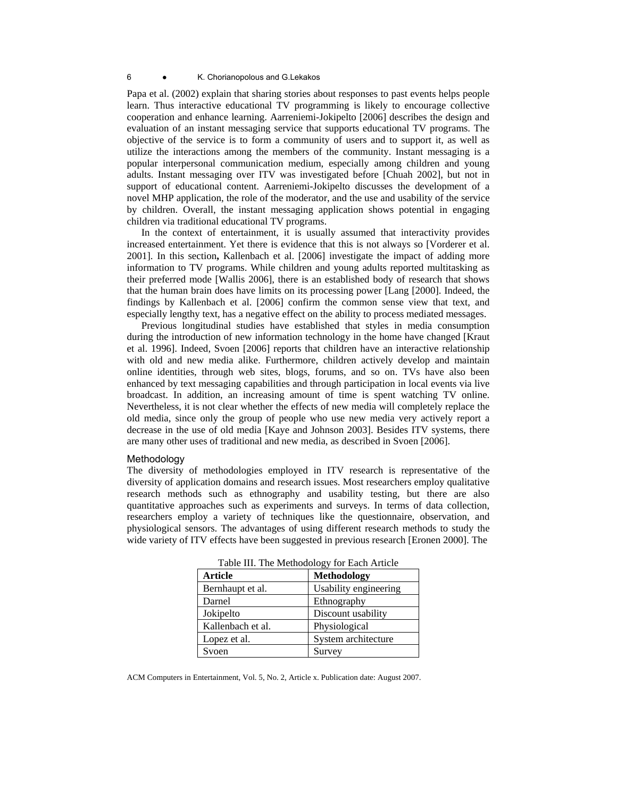#### 6 **• K. Chorianopolous and G.Lekakos**

Papa et al. (2002) explain that sharing stories about responses to past events helps people learn. Thus interactive educational TV programming is likely to encourage collective cooperation and enhance learning. Aarreniemi-Jokipelto [2006] describes the design and evaluation of an instant messaging service that supports educational TV programs. The objective of the service is to form a community of users and to support it, as well as utilize the interactions among the members of the community. Instant messaging is a popular interpersonal communication medium, especially among children and young adults. Instant messaging over ITV was investigated before [Chuah 2002], but not in support of educational content. Aarreniemi-Jokipelto discusses the development of a novel MHP application, the role of the moderator, and the use and usability of the service by children. Overall, the instant messaging application shows potential in engaging children via traditional educational TV programs.

In the context of entertainment, it is usually assumed that interactivity provides increased entertainment. Yet there is evidence that this is not always so [Vorderer et al. 2001]. In this section**,** Kallenbach et al. [2006] investigate the impact of adding more information to TV programs. While children and young adults reported multitasking as their preferred mode [Wallis 2006], there is an established body of research that shows that the human brain does have limits on its processing power [Lang [2000]. Indeed, the findings by Kallenbach et al. [2006] confirm the common sense view that text, and especially lengthy text, has a negative effect on the ability to process mediated messages.

Previous longitudinal studies have established that styles in media consumption during the introduction of new information technology in the home have changed [Kraut et al. 1996]. Indeed, Svoen [2006] reports that children have an interactive relationship with old and new media alike. Furthermore, children actively develop and maintain online identities, through web sites, blogs, forums, and so on. TVs have also been enhanced by text messaging capabilities and through participation in local events via live broadcast. In addition, an increasing amount of time is spent watching TV online. Nevertheless, it is not clear whether the effects of new media will completely replace the old media, since only the group of people who use new media very actively report a decrease in the use of old media [Kaye and Johnson 2003]. Besides ITV systems, there are many other uses of traditional and new media, as described in Svoen [2006].

# Methodology

The diversity of methodologies employed in ITV research is representative of the diversity of application domains and research issues. Most researchers employ qualitative research methods such as ethnography and usability testing, but there are also quantitative approaches such as experiments and surveys. In terms of data collection, researchers employ a variety of techniques like the questionnaire, observation, and physiological sensors. The advantages of using different research methods to study the wide variety of ITV effects have been suggested in previous research [Eronen 2000]. The

| <b>Article</b>    | <b>Methodology</b>    |
|-------------------|-----------------------|
| Bernhaupt et al.  | Usability engineering |
| Darnel            | Ethnography           |
| Jokipelto         | Discount usability    |
| Kallenbach et al. | Physiological         |
| Lopez et al.      | System architecture   |
| Svoen             | Survey                |

Table III. The Methodology for Each Article

ACM Computers in Entertainment, Vol. 5, No. 2, Article x. Publication date: August 2007.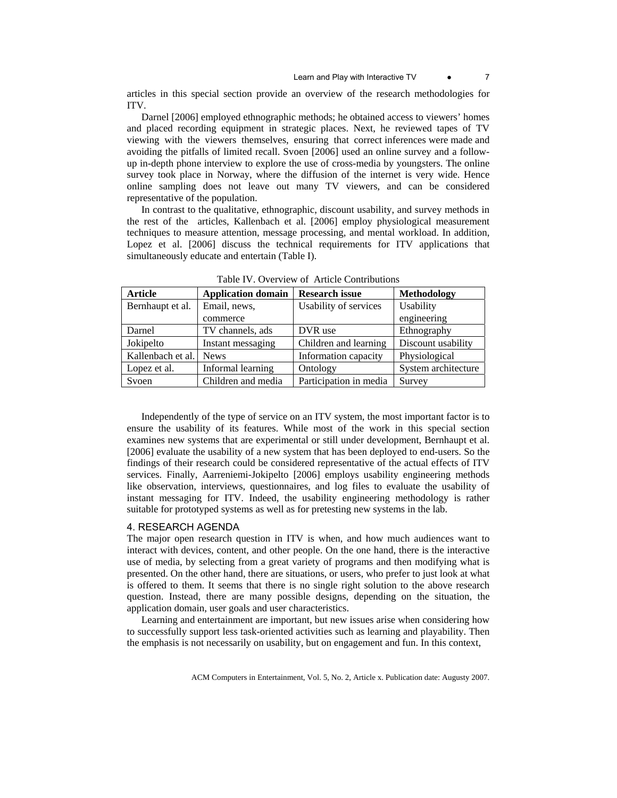articles in this special section provide an overview of the research methodologies for ITV.

Darnel [2006] employed ethnographic methods; he obtained access to viewers' homes and placed recording equipment in strategic places. Next, he reviewed tapes of TV viewing with the viewers themselves, ensuring that correct inferences were made and avoiding the pitfalls of limited recall. Svoen [2006] used an online survey and a followup in-depth phone interview to explore the use of cross-media by youngsters. The online survey took place in Norway, where the diffusion of the internet is very wide. Hence online sampling does not leave out many TV viewers, and can be considered representative of the population.

In contrast to the qualitative, ethnographic, discount usability, and survey methods in the rest of the articles, Kallenbach et al. [2006] employ physiological measurement techniques to measure attention, message processing, and mental workload. In addition, Lopez et al. [2006] discuss the technical requirements for ITV applications that simultaneously educate and entertain (Table I).

| <b>Article</b>    | <b>Application domain</b> | <b>Research issue</b>  | Methodology         |
|-------------------|---------------------------|------------------------|---------------------|
| Bernhaupt et al.  | Email, news,              | Usability of services  | Usability           |
|                   | commerce                  |                        | engineering         |
| Darnel            | TV channels, ads          | DVR use                | Ethnography         |
| Jokipelto         | Instant messaging         | Children and learning  | Discount usability  |
| Kallenbach et al. | <b>News</b>               | Information capacity   | Physiological       |
| Lopez et al.      | Informal learning         | Ontology               | System architecture |
| Svoen             | Children and media        | Participation in media | Survey              |

Table IV. Overview of Article Contributions

Independently of the type of service on an ITV system, the most important factor is to ensure the usability of its features. While most of the work in this special section examines new systems that are experimental or still under development, Bernhaupt et al. [2006] evaluate the usability of a new system that has been deployed to end-users. So the findings of their research could be considered representative of the actual effects of ITV services. Finally, Aarreniemi-Jokipelto [2006] employs usability engineering methods like observation, interviews, questionnaires, and log files to evaluate the usability of instant messaging for ITV. Indeed, the usability engineering methodology is rather suitable for prototyped systems as well as for pretesting new systems in the lab.

### 4. RESEARCH AGENDA

The major open research question in ITV is when, and how much audiences want to interact with devices, content, and other people. On the one hand, there is the interactive use of media, by selecting from a great variety of programs and then modifying what is presented. On the other hand, there are situations, or users, who prefer to just look at what is offered to them. It seems that there is no single right solution to the above research question. Instead, there are many possible designs, depending on the situation, the application domain, user goals and user characteristics.

Learning and entertainment are important, but new issues arise when considering how to successfully support less task-oriented activities such as learning and playability. Then the emphasis is not necessarily on usability, but on engagement and fun. In this context,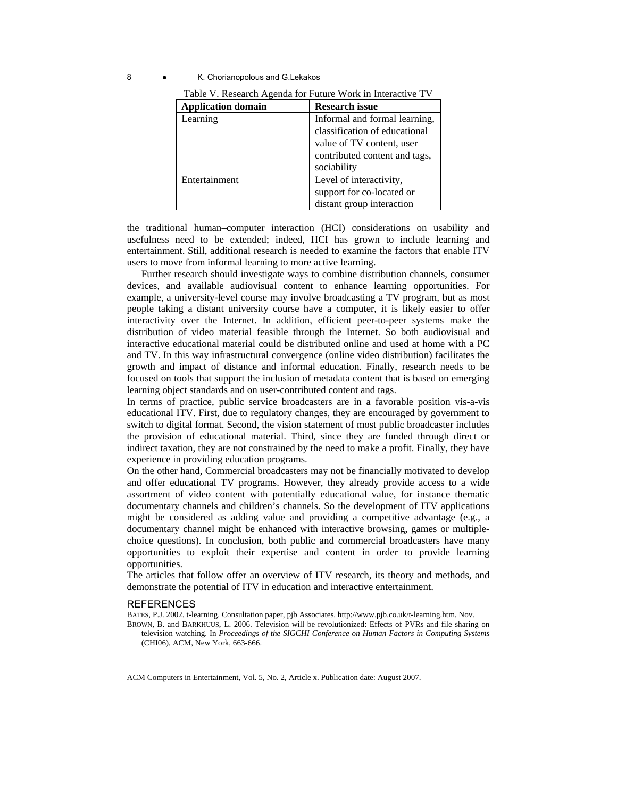8 **• K. Chorianopolous and G.Lekakos** 

| Tuble +: Itenedia I I genera for I and C ++ official interactive I + |                                                                                                                                             |  |
|----------------------------------------------------------------------|---------------------------------------------------------------------------------------------------------------------------------------------|--|
| <b>Application domain</b>                                            | <b>Research issue</b>                                                                                                                       |  |
| Learning                                                             | Informal and formal learning,<br>classification of educational<br>value of TV content, user<br>contributed content and tags,<br>sociability |  |
| Entertainment                                                        | Level of interactivity,<br>support for co-located or<br>distant group interaction                                                           |  |

Table V. Research Agenda for Future Work in Interactive TV

the traditional human–computer interaction (HCI) considerations on usability and usefulness need to be extended; indeed, HCI has grown to include learning and entertainment. Still, additional research is needed to examine the factors that enable ITV users to move from informal learning to more active learning.

Further research should investigate ways to combine distribution channels, consumer devices, and available audiovisual content to enhance learning opportunities. For example, a university-level course may involve broadcasting a TV program, but as most people taking a distant university course have a computer, it is likely easier to offer interactivity over the Internet. In addition, efficient peer-to-peer systems make the distribution of video material feasible through the Internet. So both audiovisual and interactive educational material could be distributed online and used at home with a PC and TV. In this way infrastructural convergence (online video distribution) facilitates the growth and impact of distance and informal education. Finally, research needs to be focused on tools that support the inclusion of metadata content that is based on emerging learning object standards and on user-contributed content and tags.

In terms of practice, public service broadcasters are in a favorable position vis-a-vis educational ITV. First, due to regulatory changes, they are encouraged by government to switch to digital format. Second, the vision statement of most public broadcaster includes the provision of educational material. Third, since they are funded through direct or indirect taxation, they are not constrained by the need to make a profit. Finally, they have experience in providing education programs.

On the other hand, Commercial broadcasters may not be financially motivated to develop and offer educational TV programs. However, they already provide access to a wide assortment of video content with potentially educational value, for instance thematic documentary channels and children's channels. So the development of ITV applications might be considered as adding value and providing a competitive advantage (e.g., a documentary channel might be enhanced with interactive browsing, games or multiplechoice questions). In conclusion, both public and commercial broadcasters have many opportunities to exploit their expertise and content in order to provide learning opportunities.

The articles that follow offer an overview of ITV research, its theory and methods, and demonstrate the potential of ITV in education and interactive entertainment.

#### **REFERENCES**

BATES, P.J. 2002. t-learning. Consultation paper, pjb Associates. http://www.pjb.co.uk/t-learning.htm. Nov.

BROWN, B. and BARKHUUS, L. 2006. Television will be revolutionized: Effects of PVRs and file sharing on television watching. In *Proceedings of the SIGCHI Conference on Human Factors in Computing Systems* (CHI06), ACM, New York, 663-666.

ACM Computers in Entertainment, Vol. 5, No. 2, Article x. Publication date: August 2007.